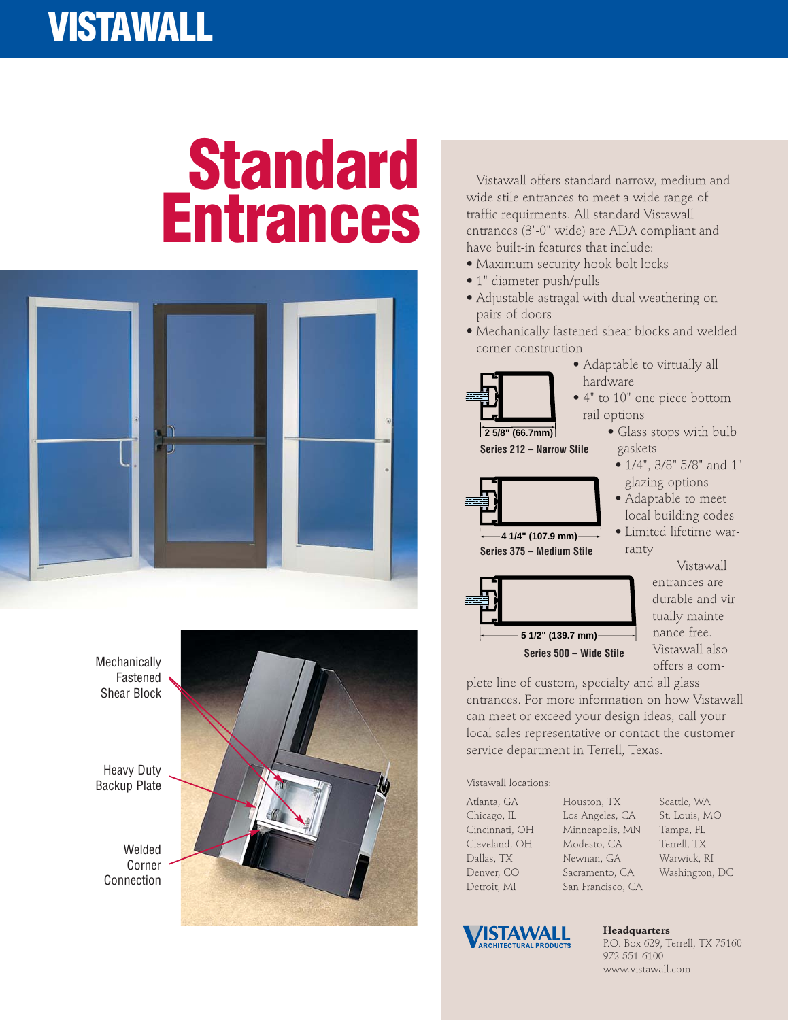## **VISTAWALL**

## **Standard Entrances**





Vistawall offers standard narrow, medium and wide stile entrances to meet a wide range of traffic requirments. All standard Vistawall entrances (3'-0" wide) are ADA compliant and have built-in features that include:

- Maximum security hook bolt locks
- 1" diameter push/pulls
- Adjustable astragal with dual weathering on pairs of doors
- Mechanically fastened shear blocks and welded corner construction



• 4" to 10" one piece bottom rail options

hardware

• Adaptable to virtually all

- Glass stops with bulb gaskets
	- 1/4", 3/8" 5/8" and 1" glazing options
	- Adaptable to meet local building codes
	- Limited lifetime warranty



**4 1/4" (107.9 mm)**

**Series 375 – Medium Stile**

**Series 212 – Narrow Stile**

Vistawall entrances are durable and virtually maintenance free. Vistawall also offers a com-

plete line of custom, specialty and all glass entrances. For more information on how Vistawall can meet or exceed your design ideas, call your local sales representative or contact the customer service department in Terrell, Texas.

Vistawall locations:

Atlanta, GA Chicago, IL Cincinnati, OH Cleveland, OH Dallas, TX Denver, CO Detroit, MI

Houston, TX Los Angeles, CA Minneapolis, MN Modesto, CA Newnan, GA Sacramento, CA San Francisco, CA





**Headquarters** P.O. Box 629, Terrell, TX 75160 972-551-6100 www.vistawall.com